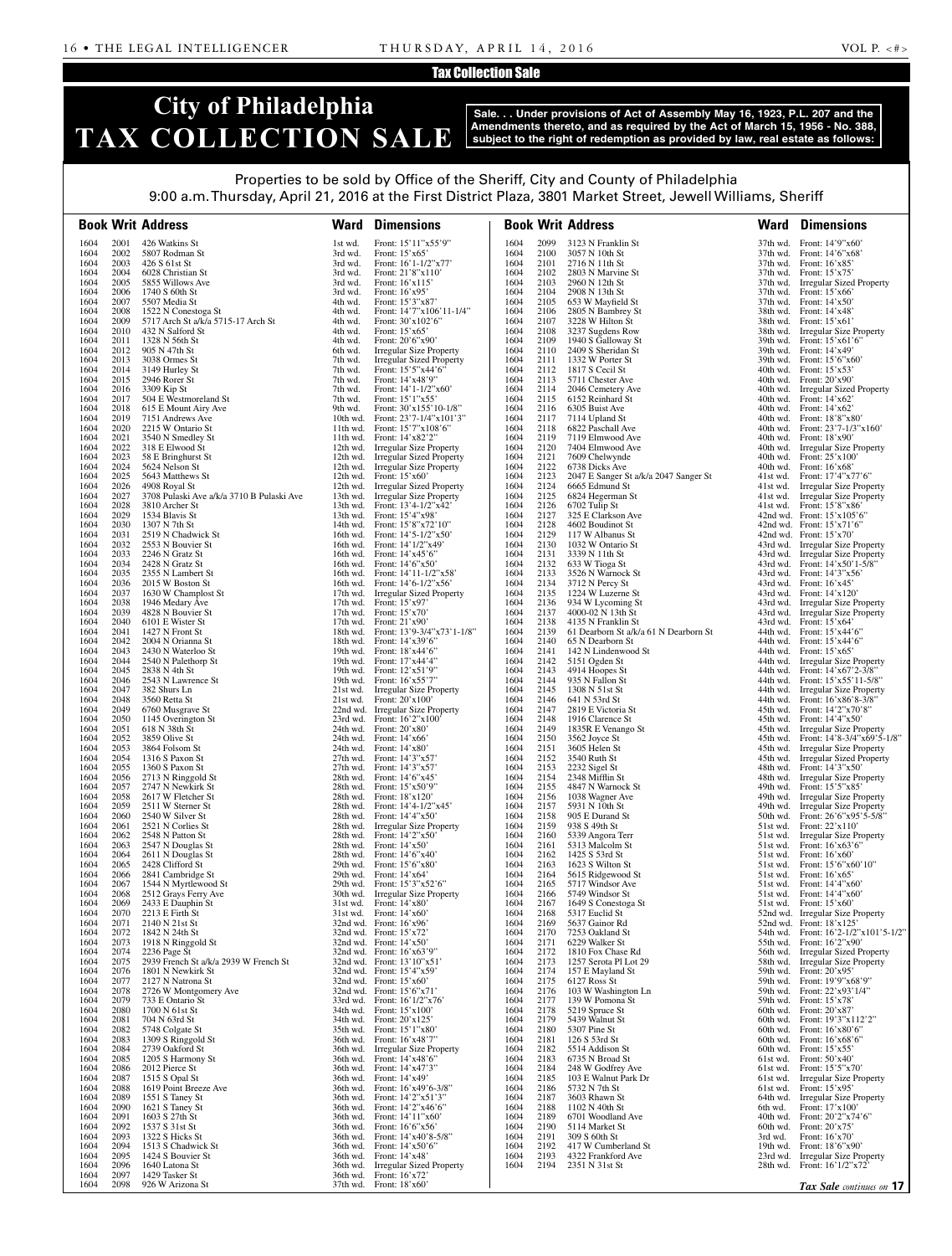#### Tax Collection Sale

## **City of Philadelphia TAX COLLECTION SALE**

**Sale. . . Under provisions of Act of Assembly May 16, 1923, P.L. 207 and the Amendments thereto, and as required by the Act of March 15, 1956 - No. 388, subject to the right of redemption as provided by law, real estate as follows:**

### Properties to be sold by Office of the Sheriff, City and County of Philadelphia

9:00 a.m. Thursday, April 21, 2016 at the First District Plaza, 3801 Market Street, Jewell Williams, Sheriff

|              |              | <b>Book Writ Address</b>                                   | Ward               | <b>Dimensions</b>                                                         |              |              | <b>Book Writ Address</b>                  | Ward     | <b>Dimensions</b>                                                     |
|--------------|--------------|------------------------------------------------------------|--------------------|---------------------------------------------------------------------------|--------------|--------------|-------------------------------------------|----------|-----------------------------------------------------------------------|
| 1604         | 2001         | 426 Watkins St                                             | 1st wd.            | Front: 15'11"x55'9"                                                       | 1604         | 2099         | 3123 N Franklin St                        |          | 37th wd. Front: 14'9"x60"                                             |
| 1604         | 2002         | 5807 Rodman St                                             | 3rd wd.            | Front: $15'x65'$                                                          | 1604         | 2100         | 3057 N 10th St                            |          | 37th wd. Front: 14'6"x68"                                             |
| 1604         | 2003         | 426 S 61st St                                              | 3rd wd.            | Front: $16'1-1/2''x77'$                                                   | 1604         | 2101         | 2716 N 11th St                            |          | 37th wd. Front: 16'x85'                                               |
| 1604<br>1604 | 2004<br>2005 | 6028 Christian St<br>5855 Willows Ave                      | 3rd wd.<br>3rd wd. | Front: $21'8''x110'$<br>Front: 16'x115'                                   | 1604<br>1604 | 2102<br>2103 | 2803 N Marvine St<br>2960 N 12th St       |          | 37th wd. Front: 15'x75'<br>37th wd. Irregular Sized Property          |
| 1604         | 2006         | 1740 S 60th St                                             | 3rd wd.            | Front: $16'$ x95'                                                         | 1604         | 2104         | 2908 N 13th St                            |          | 37th wd. Front: 15'x66'                                               |
| 1604         | 2007         | 5507 Media St                                              | 4th wd.            | Front: 15'3"x87'                                                          | 1604         | 2105         | 653 W Mayfield St                         |          | 37th wd. Front: 14'x50'                                               |
| 1604<br>1604 | 2008<br>2009 | 1522 N Conestoga St<br>5717 Arch St a/k/a 5715-17 Arch St  | 4th wd.<br>4th wd. | Front: 14'7"x106'11-1/4"<br>Front: $30'x102'6''$                          | 1604<br>1604 | 2106<br>2107 | 2805 N Bambrey St<br>3228 W Hilton St     |          | 38th wd. Front: 14'x48'<br>38th wd. Front: 15'x61'                    |
| 1604         | 2010         | 432 N Salford St                                           | 4th wd.            | Front: 15'x65'                                                            | 1604         | 2108         | 3237 Sugdens Row                          |          | 38th wd. Irregular Size Property                                      |
| 1604         | 2011         | 1328 N 56th St                                             | 4th wd.            | Front: 20'6"x90'                                                          | 1604         | 2109         | 1940 S Galloway St                        |          | 39th wd. Front: 15'x61'6"                                             |
| 1604         | 2012         | 905 N 47th St                                              | 6th wd.            | <b>Irregular Size Property</b>                                            | 1604         | 2110         | 2409 S Sheridan St                        |          | 39th wd. Front: 14'x49'                                               |
| 1604<br>1604 | 2013<br>2014 | 3038 Ormes St<br>3149 Hurley St                            | 7th wd.<br>7th wd. | Irregular Sized Property<br>Front: 15'5"x44'6"                            | 1604<br>1604 | 2111<br>2112 | 1332 W Porter St<br>1817 S Cecil St       |          | 39th wd. Front: 15'6"x60"<br>40th wd. Front: $15'x53'$                |
| 1604         | 2015         | 2946 Rorer St                                              | 7th wd.            | Front: $14'x48'9''$                                                       | 1604         | 2113         | 5711 Chester Ave                          |          | 40th wd. Front: 20'x90'                                               |
| 1604         | 2016         | 3309 Kip St                                                | 7th wd.            | Front: $14'1-1/2''x60'$                                                   | 1604         | 2114         | 2046 Cemetery Ave                         |          | 40th wd. Irregular Sized Property                                     |
| 1604<br>1604 | 2017<br>2018 | 504 E Westmoreland St                                      | 7th wd.<br>9th wd. | Front: 15'1"x55'                                                          | 1604<br>1604 | 2115<br>2116 | 6152 Reinhard St                          |          | 40th wd. Front: $14'x62'$                                             |
| 1604         | 2019         | 615 E Mount Airy Ave<br>7151 Andrews Ave                   |                    | Front: $30'x155'10-1/8"$<br>10th wd. Front: $23'7 - 1/4'' \times 101'3''$ | 1604         | 2117         | 6305 Buist Ave<br>7114 Upland St          |          | 40th wd. Front: $14'x62'$<br>40th wd. Front: 18'8"x80"                |
| 1604         | 2020         | 2215 W Ontario St                                          |                    | 11th wd. Front: $15'7''x108'6''$                                          | 1604         | 2118         | 6822 Paschall Ave                         |          | 40th wd. Front: $23'7 - 1/3''x160'$                                   |
| 1604         | 2021         | 3540 N Smedley St                                          |                    | 11th wd. Front: $14^\circ \times 82^\circ 2$ "                            | 1604         | 2119         | 7119 Elmwood Ave                          |          | 40th wd. Front: 18'x90'                                               |
| 1604<br>1604 | 2022<br>2023 | 318 E Elwood St<br>58 E Bringhurst St                      |                    | 12th wd. Irregular Size Property                                          | 1604         | 2120<br>2121 | 7404 Elmwood Ave                          |          | 40th wd. Irregular Size Property                                      |
| 1604         | 2024         | 5624 Nelson St                                             |                    | 12th wd. Irregular Sized Property<br>12th wd. Irregular Size Property     | 1604<br>1604 | 2122         | 7609 Chelwynde<br>6738 Dicks Ave          |          | 40th wd. Front: 25'x100'<br>40th wd. Front: $16'x68'$                 |
| 1604         | 2025         | 5643 Matthews St                                           |                    | 12th wd. Front: $15'x60'$                                                 | 1604         | 2123         | 2047 E Sanger St a/k/a 2047 Sanger St     |          | 41st wd. Front: 17'4"x77'6"                                           |
| 1604         | 2026         | 4908 Royal St                                              |                    | 12th wd. Irregular Sized Property                                         | 1604         | 2124         | 6665 Edmund St                            |          | 41st wd. Irregular Size Property                                      |
| 1604         | 2027         | 3708 Pulaski Ave a/k/a 3710 B Pulaski Ave                  |                    | 13th wd. Irregular Size Property                                          | 1604         | 2125         | 6824 Hegerman St                          |          | 41st wd. Irregular Size Property                                      |
| 1604<br>1604 | 2028<br>2029 | 3810 Archer St<br>1534 Blavis St                           |                    | 13th wd. Front: 13'4-1/2"x42'<br>13th wd. Front: 15'4"x98"                | 1604<br>1604 | 2126<br>2127 | 6702 Tulip St<br>325 E Clarkson Ave       |          | 41st wd. Front: 15'8"x86"<br>42nd wd. Front: $15'x105'6"$             |
| 1604         | 2030         | 1307 N 7th St                                              |                    | 14th wd. Front: 15'8"x72'10"                                              | 1604         | 2128         | 4602 Boudinot St                          |          | 42nd wd. Front: $15'x71'6"$                                           |
| 1604         | 2031         | 2519 N Chadwick St                                         |                    | 16th wd. Front: 14'5-1/2"x50"                                             | 1604         | 2129         | 117 W Albanus St                          |          | 42nd wd. Front: $15'x70'$                                             |
| 1604         | 2032         | 2553 N Bouvier St                                          |                    | 16th wd. Front: $14'1/2''x49'$                                            | 1604         | 2130         | 1032 W Ontario St                         |          | 43rd wd. Irregular Size Property                                      |
| 1604<br>1604 | 2033<br>2034 | 2246 N Gratz St<br>2428 N Gratz St                         |                    | 16th wd. Front: $14' \times 45'$ 6"<br>16th wd. Front: $14'6''x50'$       | 1604<br>1604 | 2131<br>2132 | 3339 N 11th St<br>633 W Tioga St          |          | 43rd wd. Irregular Size Property<br>43rd wd. Front: 14'x50'1-5/8"     |
| 1604         | 2035         | 2355 N Lambert St                                          |                    | 16th wd. Front: 14'11-1/2"x58'                                            | 1604         | 2133         | 3526 N Warnock St                         |          | 43rd wd. Front: 14'3"x56"                                             |
| 1604         | 2036         | 2015 W Boston St                                           |                    | 16th wd. Front: $14'6 - 1/2''x56'$                                        | 1604         | 2134         | 3712 N Percy St                           |          | 43rd wd. Front: $16'x45'$                                             |
| 1604         | 2037         | 1630 W Champlost St                                        |                    | 17th wd. Irregular Sized Property                                         | 1604         | 2135         | 1224 W Luzerne St                         |          | 43rd wd. Front: $14'x120'$                                            |
| 1604         | 2038<br>2039 | 1946 Medary Ave<br>4828 N Bouvier St                       |                    | 17th wd. Front: $15'$ x97'                                                | 1604         | 2136<br>2137 | 934 W Lycoming St<br>4000-02 N 13th St    |          | 43rd wd. Irregular Size Property                                      |
| 1604<br>1604 | 2040         | 6101 E Wister St                                           |                    | 17th wd. Front: $15'x70'$<br>17th wd. Front: $21'x90'$                    | 1604<br>1604 | 2138         | 4135 N Franklin St                        |          | 43rd wd. Irregular Size Property<br>43rd wd. Front: 15'x64'           |
| 1604         | 2041         | 1427 N Front St                                            |                    | 18th wd. Front: 13'9-3/4"x73'1-1/8"                                       | 1604         | 2139         | 61 Dearborn St a/k/a 61 N Dearborn St     |          | 44th wd. Front: $15'x44'6"$                                           |
| 1604         | 2042         | 2004 N Orianna St                                          |                    | 18th wd. Front: 14'x39'6"                                                 | 1604         | 2140         | 65 N Dearborn St                          |          | 44th wd. Front: $15'x44'6"$                                           |
| 1604         | 2043         | 2430 N Waterloo St                                         |                    | 19th wd. Front: 18'x44'6"                                                 | 1604         | 2141         | 142 N Lindenwood St                       |          | 44th wd. Front: 15'x65'                                               |
| 1604<br>1604 | 2044<br>2045 | 2540 N Palethorp St<br>2838 N 4th St                       |                    | 19th wd. Front: 17'x44'4"<br>19th wd. Front: $12'x51'9''$                 | 1604<br>1604 | 2142<br>2143 | 5151 Ogden St<br>4914 Hoopes St           |          | 44th wd. Irregular Size Property<br>44th wd. Front: 14'x67'2-3/8"     |
| 1604         | 2046         | 2543 N Lawrence St                                         |                    | 19th wd. Front: $16'x55'7''$                                              | 1604         | 2144         | 935 N Fallon St                           |          | 44th wd. Front: 15'x55'11-5/8"                                        |
| 1604         | 2047         | 382 Shurs Ln                                               |                    | 21st wd. Irregular Size Property                                          | 1604         | 2145         | 1308 N 51st St                            |          | 44th wd. Irregular Size Property                                      |
| 1604         | 2048         | 3560 Retta St                                              |                    | 21st wd. Front: $20'x100'$                                                | 1604         | 2146         | 641 N 53rd St                             |          | 44th wd. Front: 16'x86'8-3/8"                                         |
| 1604<br>1604 | 2049<br>2050 | 6760 Musgrave St<br>1145 Overington St                     |                    | 22nd wd. Irregular Size Property<br>23rd wd. Front: 16'2"x100"            | 1604<br>1604 | 2147<br>2148 | 2819 E Victoria St<br>1916 Clarence St    |          | 45th wd. Front: 14'2"x70'8"<br>45th wd. Front: $14'4''x50'$           |
| 1604         | 2051         | 618 N 38th St                                              |                    | 24th wd. Front: 20'x80'                                                   | 1604         | 2149         | 1835R E Venango St                        |          | 45th wd. Irregular Size Property                                      |
| 1604         | 2052         | 3859 Olive St                                              |                    | 24th wd. Front: $14' \times 66'$                                          | 1604         |              | 2150 3562 Joyce St                        |          | 45th wd. Front: 14'8-3/4"x69'5-1/8"                                   |
| 1604         | 2053         | 3864 Folsom St                                             |                    | 24th wd. Front: 14'x80'                                                   | 1604         | 2151         | 3605 Helen St                             |          | 45th wd. Irregular Size Property                                      |
| 1604<br>1604 | 2054<br>2055 | 1316 S Paxon St<br>1360 S Paxon St                         |                    | 27th wd. Front: 14'3"x57'<br>27th wd. Front: 14'3"x57"                    | 1604<br>1604 | 2152<br>2153 | 3540 Ruth St<br>2232 Sigel St             |          | 45th wd. Irregular Sized Property<br>48th wd. Front: 14'3"x50"        |
| 1604         | 2056         | 2713 N Ringgold St                                         |                    | 28th wd. Front: 14'6"x45"                                                 | 1604         | 2154         | 2348 Mifflin St                           |          | 48th wd. Irregular Size Property                                      |
| 1604         | 2057         | 2747 N Newkirk St                                          |                    | 28th wd. Front: 15'x50'9"                                                 | 1604         | 2155         | 4847 N Warnock St                         |          | 49th wd. Front: 15'5"x85"                                             |
| 1604         | 2058         | 2617 W Fletcher St                                         |                    | 28th wd. Front: 18'x120'                                                  | 1604         | 2156         | 1038 Wagner Ave                           |          | 49th wd. Irregular Size Property                                      |
| 1604<br>1604 | 2059<br>2060 | 2511 W Sterner St<br>2540 W Silver St                      |                    | 28th wd. Front: 14'4-1/2"x45'<br>28th wd. Front: 14'4"x50"                | 1604<br>1604 | 2157<br>2158 | 5931 N 10th St<br>905 E Durand St         |          | 49th wd. Irregular Size Property<br>50th wd. Front: 26'6"x95'5-5/8"   |
| 1604         | 2061         | 2521 N Corlies St                                          |                    | 28th wd. Irregular Size Property                                          | 1604         | 2159         | 938 S 49th St                             |          | 51st wd. Front: 22'x110'                                              |
| 1604         | 2062         | 2548 N Patton St                                           |                    | 28th wd. Front: 14'2"x50'                                                 | 1604         | 2160         | 5339 Angora Terr                          |          | 51st wd. Irregular Size Property                                      |
| 1604         | 2063         | 2547 N Douglas St                                          |                    | 28th wd. Front: $14' \times 50'$                                          | 1604         | 2161         | 5313 Malcolm St                           |          | 51st wd. Front: $16'x63'6"$                                           |
| 1604         | 2064         | 2611 N Douglas St<br>2428 Clifford St                      |                    | 28th wd. Front: 14'6"x40"                                                 | 1604         | 2162         | 1425 S 53rd St<br>1623 S Wilton St        |          | $51st$ wd. Front: $16'x60'$<br>51st wd. Front: 15'6"x60'10"           |
| 1604<br>1604 | 2065<br>2066 | 2841 Cambridge St                                          |                    | 29th wd. Front: 15'6"x80"<br>29th wd. Front: $14'x64'$                    | 1604<br>1604 | 2163<br>2164 | 5615 Ridgewood St                         |          | $51st$ wd. Front: $16'x65'$                                           |
| 1604         | 2067         | 1544 N Myrtlewood St                                       |                    | 29th wd. Front: 15'3"x52'6"                                               | 1604         | 2165         | 5717 Windsor Ave                          |          | 51st wd. Front: $14'4''x60'$                                          |
| 1604         | 2068         | 2512 Grays Ferry Ave                                       |                    | 30th wd. Irregular Size Property                                          | 1604         | 2166         | 5749 Windsor St                           |          | 51st wd. Front: $14'4''x60'$                                          |
| 1604<br>1604 | 2069<br>2070 | 2433 E Dauphin St<br>2213 E Firth St                       |                    | $31st$ wd. Front: $14'x80'$<br>$31st$ wd. Front: $14'x60'$                | 1604<br>1604 | 2167<br>2168 | 1649 S Conestoga St<br>5317 Euclid St     |          | $51st$ wd. Front: $15'x60'$<br>52nd wd. Irregular Size Property       |
| 1604         | 2071         | 2140 N 21st St                                             |                    | 32nd wd. Front: 16'x96'                                                   | 1604         | 2169         | 5637 Gainor Rd                            |          | 52nd wd. Front: 18'x125'                                              |
| 1604         | 2072         | 1842 N 24th St                                             |                    | 32nd wd. Front: 15'x72'                                                   | 1604         | 2170         | 7253 Oakland St                           |          | 54th wd. Front: 16'2-1/2"x101'5-1/2"                                  |
| 1604         | 2073         | 1918 N Ringgold St                                         |                    | 32nd wd. Front: $14' \times 50'$                                          | 1604         | 2171         | 6229 Walker St                            |          | 55th wd. Front: 16'2"x90"                                             |
| 1604         | 2074<br>2075 | 2236 Page St                                               |                    | 32nd wd. Front: 16'x63'9"                                                 | 1604         | 2172<br>2173 | 1810 Fox Chase Rd                         |          | 56th wd. Irregular Sized Property<br>58th wd. Irregular Size Property |
| 1604<br>1604 | 2076         | 2939 French St a/k/a 2939 W French St<br>1801 N Newkirk St |                    | 32nd wd. Front: 13'10"x51"<br>32nd wd. Front: 15'4"x59"                   | 1604<br>1604 | 2174         | 1257 Serota Pl Lot 29<br>157 E Mayland St |          | 59th wd. Front: 20'x95'                                               |
| 1604         | 2077         | 2127 N Natrona St                                          |                    | 32nd wd. Front: $15'x60'$                                                 | 1604         | 2175         | 6127 Ross St                              |          | 59th wd. Front: 19'9"x68'9"                                           |
| 1604         | 2078         | 2726 W Montgomery Ave                                      |                    | 32nd wd. Front: 15'6"x71"                                                 | 1604         | 2176         | 103 W Washington Ln                       |          | 59th wd. Front: 22'x93'1/4"                                           |
| 1604         | 2079         | 733 E Ontario St                                           |                    | 33rd wd. Front: 16'1/2"x76'                                               | 1604         | 2177         | 139 W Pomona St                           |          | 59th wd. Front: 15'x78'                                               |
| 1604<br>1604 | 2080<br>2081 | 1700 N 61st St<br>704 N 63rd St                            |                    | 34th wd. Front: 15'x100'<br>34th wd. Front: 20'x125'                      | 1604<br>1604 | 2178<br>2179 | 5219 Spruce St<br>5439 Walnut St          |          | 60th wd. Front: 20'x87'<br>60th wd. Front: 19'3"x112'2"               |
| 1604         | 2082         | 5748 Colgate St                                            |                    | 35th wd. Front: 15'1"x80"                                                 | 1604         | 2180         | 5307 Pine St                              |          | 60th wd. Front: $16'x80'6"$                                           |
| 1604         | 2083         | 1309 S Ringgold St                                         |                    | 36th wd. Front: 16'x48'7"                                                 | 1604         | 2181         | 126 S 53rd St                             |          | 60th wd. Front: 16'x68'6"                                             |
| 1604         | 2084         | 2739 Oakford St                                            |                    | 36th wd. Irregular Size Property                                          | 1604         | 2182         | 5514 Addison St                           |          | 60th wd. Front: $15'x55'$                                             |
| 1604<br>1604 | 2085<br>2086 | 1205 S Harmony St<br>2012 Pierce St                        |                    | 36th wd. Front: 14'x48'6"<br>36th wd. Front: 14'x47'3"                    | 1604<br>1604 | 2183<br>2184 | 6735 N Broad St<br>248 W Godfrey Ave      |          | 61st wd. Front: $50'x40'$<br>61st wd. Front: $15'5''x70'$             |
| 1604         | 2087         | 1515 S Opal St                                             |                    | 36th wd. Front: 14'x49'                                                   | 1604         | 2185         | $103 \to$ Walnut Park Dr                  |          | 61st wd. Irregular Size Property                                      |
| 1604         | 2088         | 1619 Point Breeze Ave                                      |                    | 36th wd. Front: 16'x49'6-3/8"                                             | 1604         | 2186         | 5732 N 7th St                             |          | 61st wd. Front: $15'x95'$                                             |
| 1604         | 2089         | 1551 S Taney St                                            |                    | 36th wd. Front: 14'2"x51'3"                                               | 1604         | 2187         | 3603 Rhawn St                             |          | 64th wd. Irregular Size Property                                      |
| 1604         | 2090         | 1621 S Taney St                                            |                    | 36th wd. Front: 14'2"x46'6"                                               | 1604         | 2188         | 1102 N 40th St                            | 6th wd.  | Front: 17'x100'                                                       |
| 1604<br>1604 | 2091<br>2092 | 1603 S 27th St<br>1537 S 31st St                           |                    | 36th wd. Front: 14'11"x60"<br>36th wd. Front: 16'6"x56'                   | 1604<br>1604 | 2189<br>2190 | 6701 Woodland Ave<br>5114 Market St       |          | 40th wd. Front: 20'2"x74'6"<br>60th wd. Front: $20'x75'$              |
| 1604         | 2093         | 1322 S Hicks St                                            |                    | 36th wd. Front: 14'x40'8-5/8"                                             | 1604         | 2191         | 309 S 60th St                             | 3rd wd.  | Front: $16'x70'$                                                      |
| 1604         | 2094         | 1513 S Chadwick St                                         |                    | 36th wd. Front: 14'x50'6"                                                 | 1604         | 2192         | 417 W Cumberland St                       |          | 19th wd. Front: 18'6"x90"                                             |
| 1604         | 2095         | 1424 S Bouvier St                                          |                    | 36th wd. Front: 14'x48'                                                   | 1604         | 2193         | 4322 Frankford Ave                        |          | 23rd wd. Irregular Size Property                                      |
| 1604<br>1604 | 2096<br>2097 | 1640 Latona St<br>1429 Tasker St                           |                    | 36th wd. Irregular Sized Property<br>36th wd. Front: 16'x72'              | 1604         | 2194         | 2351 N 31st St                            | 28th wd. | Front: 16'1/2"x72'                                                    |
| 1604         | 2098         | 926 W Arizona St                                           |                    | 37th wd. Front: 18'x60'                                                   |              |              |                                           |          | Tax Sale continues on 17                                              |